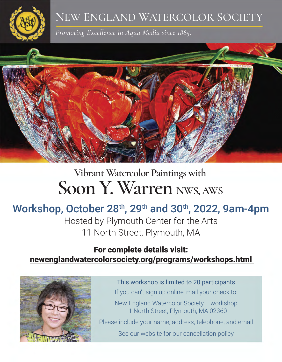

### NEW ENGLAND WATERCOLOR SOCIETY

*Promoting Excellence in Aqua Media since 1885.*



# **Vibrant Watercolor Paintings with** Soon Y. Warren NWS, AWS

## Workshop, October 28<sup>th</sup>, 29<sup>th</sup> and 30<sup>th</sup>, 2022, 9am-4pm

Hosted by Plymouth Center for the Arts 11 North Street, Plymouth, MA

### For complete details visit: newenglandwatercolorsociety.org/programs/workshops.html



This workshop is limited to 20 participants If you can't sign up online, mail your check to: New England Watercolor Society – workshop 11 North Street, Plymouth, MA 02360 Please include your name, address, telephone, and email See our website for our cancellation policy